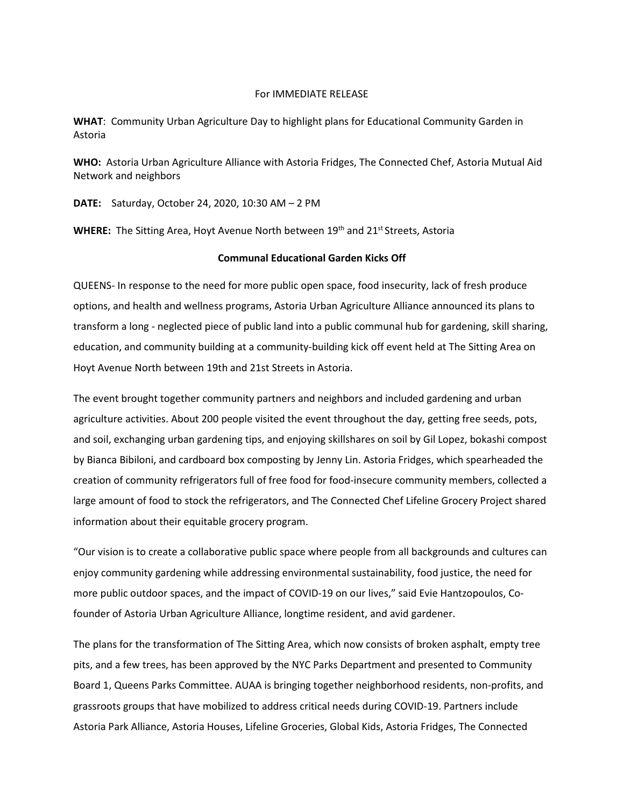## For IMMEDIATE RELEASE

**WHAT**: Community Urban Agriculture Day to highlight plans for Educational Community Garden in Astoria

**WHO:** Astoria Urban Agriculture Alliance with Astoria Fridges, The Connected Chef, Astoria Mutual Aid Network and neighbors

**DATE:** Saturday, October 24, 2020, 10:30 AM – 2 PM

WHERE: The Sitting Area, Hoyt Avenue North between 19<sup>th</sup> and 21<sup>st</sup> Streets, Astoria

## **Communal Educational Garden Kicks Off**

QUEENS- In response to the need for more public open space, food insecurity, lack of fresh produce options, and health and wellness programs, Astoria Urban Agriculture Alliance announced its plans to transform a long - neglected piece of public land into a public communal hub for gardening, skill sharing, education, and community building at a community-building kick off event held at The Sitting Area on Hoyt Avenue North between 19th and 21st Streets in Astoria.

The event brought together community partners and neighbors and included gardening and urban agriculture activities. About 200 people visited the event throughout the day, getting free seeds, pots, and soil, exchanging urban gardening tips, and enjoying skillshares on soil by Gil Lopez, bokashi compost by Bianca Bibiloni, and cardboard box composting by Jenny Lin. Astoria Fridges, which spearheaded the creation of community refrigerators full of free food for food-insecure community members, collected a large amount of food to stock the refrigerators, and The Connected Chef Lifeline Grocery Project shared information about their equitable grocery program.

"Our vision is to create a collaborative public space where people from all backgrounds and cultures can enjoy community gardening while addressing environmental sustainability, food justice, the need for more public outdoor spaces, and the impact of COVID-19 on our lives," said Evie Hantzopoulos, Cofounder of Astoria Urban Agriculture Alliance, longtime resident, and avid gardener.

The plans for the transformation of The Sitting Area, which now consists of broken asphalt, empty tree pits, and a few trees, has been approved by the NYC Parks Department and presented to Community Board 1, Queens Parks Committee. AUAA is bringing together neighborhood residents, non-profits, and grassroots groups that have mobilized to address critical needs during COVID-19. Partners include Astoria Park Alliance, Astoria Houses, Lifeline Groceries, Global Kids, Astoria Fridges, The Connected